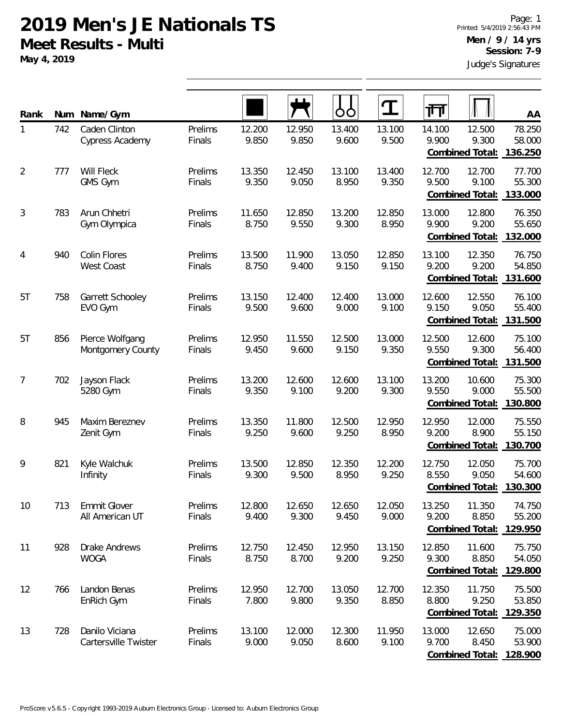**May 4, 2019**

| Rank           | Num | Name/Gym                                 |                   |                 |                 | OO              | ${\bf T}$       | गंग             |                                           | $\overline{AA}$                             |
|----------------|-----|------------------------------------------|-------------------|-----------------|-----------------|-----------------|-----------------|-----------------|-------------------------------------------|---------------------------------------------|
| 1              | 742 | Caden Clinton<br>Cypress Academy         | Prelims<br>Finals | 12.200<br>9.850 | 12.950<br>9.850 | 13.400<br>9.600 | 13.100<br>9.500 | 14.100<br>9.900 | 12.500<br>9.300<br>Combined Total:        | 78.250<br>58.000<br>136.250                 |
| $\overline{2}$ | 777 | Will Fleck<br>GMS Gym                    | Prelims<br>Finals | 13.350<br>9.350 | 12.450<br>9.050 | 13.100<br>8.950 | 13.400<br>9.350 | 12.700<br>9.500 | 12.700<br>9.100<br>Combined Total:        | 77.700<br>55.300<br>133.000                 |
| 3              | 783 | Arun Chhetri<br>Gym Olympica             | Prelims<br>Finals | 11.650<br>8.750 | 12.850<br>9.550 | 13.200<br>9.300 | 12.850<br>8.950 | 13.000<br>9.900 | 12.800<br>9.200<br>Combined Total:        | 76.350<br>55.650<br>132.000                 |
| 4              | 940 | <b>Colin Flores</b><br><b>West Coast</b> | Prelims<br>Finals | 13.500<br>8.750 | 11.900<br>9.400 | 13.050<br>9.150 | 12.850<br>9.150 | 13.100<br>9.200 | 12.350<br>9.200<br><b>Combined Total:</b> | 76.750<br>54.850<br>131.600                 |
| 5T             | 758 | Garrett Schooley<br>EVO Gym              | Prelims<br>Finals | 13.150<br>9.500 | 12.400<br>9.600 | 12.400<br>9.000 | 13.000<br>9.100 | 12.600<br>9.150 | 12.550<br>9.050<br>Combined Total:        | 76.100<br>55.400<br>131.500                 |
| 5T             | 856 | Pierce Wolfgang<br>Montgomery County     | Prelims<br>Finals | 12.950<br>9.450 | 11.550<br>9.600 | 12.500<br>9.150 | 13.000<br>9.350 | 12.500<br>9.550 | 12.600<br>9.300<br>Combined Total:        | 75.100<br>56.400<br>131.500                 |
| 7              | 702 | Jayson Flack<br>5280 Gym                 | Prelims<br>Finals | 13.200<br>9.350 | 12.600<br>9.100 | 12.600<br>9.200 | 13.100<br>9.300 | 13.200<br>9.550 | 10.600<br>9.000<br>Combined Total:        | 75.300<br>55.500<br>130.800                 |
| 8              | 945 | Maxim Bereznev<br>Zenit Gym              | Prelims<br>Finals | 13.350<br>9.250 | 11.800<br>9.600 | 12.500<br>9.250 | 12.950<br>8.950 | 12.950<br>9.200 | 12.000<br>8.900<br>Combined Total:        | 75.550<br>55.150<br>130.700                 |
| 9              | 821 | Kyle Walchuk<br>Infinity                 | Prelims<br>Finals | 13.500<br>9.300 | 12.850<br>9.500 | 12.350<br>8.950 | 12.200<br>9.250 | 12.750<br>8.550 | 12.050<br>9.050<br>Combined Total:        | 75.700<br>54.600<br>130.300                 |
| 10             | 713 | Emmit Glover<br>All American UT          | Prelims<br>Finals | 12.800<br>9.400 | 12.650<br>9.300 | 12.650<br>9.450 | 12.050<br>9.000 | 13.250<br>9.200 | 11.350<br>8.850<br>Combined Total:        | 74.750<br>55.200<br>129.950                 |
| 11             | 928 | <b>Drake Andrews</b><br><b>WOGA</b>      | Prelims<br>Finals | 12.750<br>8.750 | 12.450<br>8.700 | 12.950<br>9.200 | 13.150<br>9.250 | 12.850<br>9.300 | 11.600<br>8.850<br>Combined Total:        | 75.750<br>54.050<br>129.800                 |
| 12             | 766 | Landon Benas<br>EnRich Gym               | Prelims<br>Finals | 12.950<br>7.800 | 12.700<br>9.800 | 13.050<br>9.350 | 12.700<br>8.850 | 12.350<br>8.800 | 11.750<br>9.250                           | 75.500<br>53.850<br>Combined Total: 129.350 |
| 13             | 728 | Danilo Viciana<br>Cartersville Twister   | Prelims<br>Finals | 13.100<br>9.000 | 12.000<br>9.050 | 12.300<br>8.600 | 11.950<br>9.100 | 13.000<br>9.700 | 12.650<br>8.450<br>Combined Total:        | 75.000<br>53.900<br>128.900                 |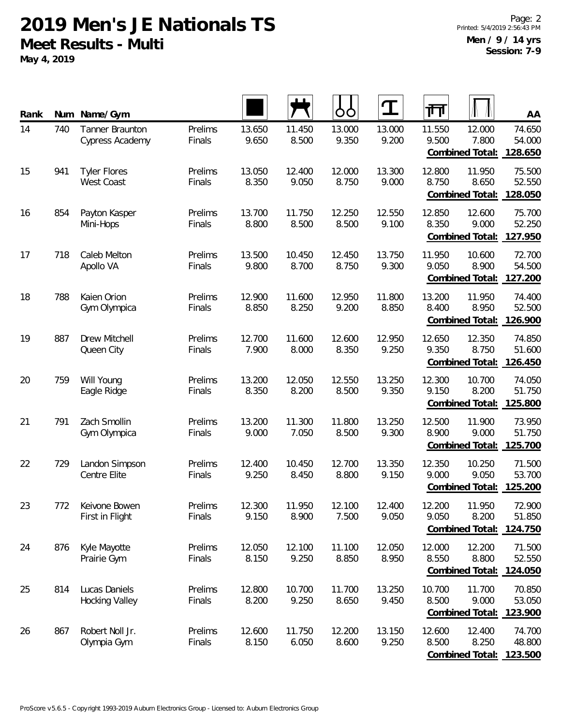**May 4, 2019**

| Rank |     | Num Name/Gym                             |                   |                 |                 | OO              |                 | ग्गि            |                                    | AA                          |
|------|-----|------------------------------------------|-------------------|-----------------|-----------------|-----------------|-----------------|-----------------|------------------------------------|-----------------------------|
| 14   | 740 | Tanner Braunton<br>Cypress Academy       | Prelims<br>Finals | 13.650<br>9.650 | 11.450<br>8.500 | 13.000<br>9.350 | 13.000<br>9.200 | 11.550<br>9.500 | 12.000<br>7.800<br>Combined Total: | 74.650<br>54.000<br>128.650 |
| 15   | 941 | <b>Tyler Flores</b><br><b>West Coast</b> | Prelims<br>Finals | 13.050<br>8.350 | 12.400<br>9.050 | 12.000<br>8.750 | 13.300<br>9.000 | 12.800<br>8.750 | 11.950<br>8.650<br>Combined Total: | 75.500<br>52.550<br>128.050 |
| 16   | 854 | Payton Kasper<br>Mini-Hops               | Prelims<br>Finals | 13.700<br>8.800 | 11.750<br>8.500 | 12.250<br>8.500 | 12.550<br>9.100 | 12.850<br>8.350 | 12.600<br>9.000<br>Combined Total: | 75.700<br>52.250<br>127.950 |
| 17   | 718 | Caleb Melton<br>Apollo VA                | Prelims<br>Finals | 13.500<br>9.800 | 10.450<br>8.700 | 12.450<br>8.750 | 13.750<br>9.300 | 11.950<br>9.050 | 10.600<br>8.900<br>Combined Total: | 72.700<br>54.500<br>127.200 |
| 18   | 788 | Kaien Orion<br>Gym Olympica              | Prelims<br>Finals | 12.900<br>8.850 | 11.600<br>8.250 | 12.950<br>9.200 | 11.800<br>8.850 | 13.200<br>8.400 | 11.950<br>8.950<br>Combined Total: | 74.400<br>52.500<br>126.900 |
| 19   | 887 | Drew Mitchell<br>Queen City              | Prelims<br>Finals | 12.700<br>7.900 | 11.600<br>8.000 | 12.600<br>8.350 | 12.950<br>9.250 | 12.650<br>9.350 | 12.350<br>8.750<br>Combined Total: | 74.850<br>51.600<br>126.450 |
| 20   | 759 | Will Young<br>Eagle Ridge                | Prelims<br>Finals | 13.200<br>8.350 | 12.050<br>8.200 | 12.550<br>8.500 | 13.250<br>9.350 | 12.300<br>9.150 | 10.700<br>8.200<br>Combined Total: | 74.050<br>51.750<br>125.800 |
| 21   | 791 | Zach Smollin<br>Gym Olympica             | Prelims<br>Finals | 13.200<br>9.000 | 11.300<br>7.050 | 11.800<br>8.500 | 13.250<br>9.300 | 12.500<br>8.900 | 11.900<br>9.000<br>Combined Total: | 73.950<br>51.750<br>125.700 |
| 22   | 729 | Landon Simpson<br>Centre Elite           | Prelims<br>Finals | 12.400<br>9.250 | 10.450<br>8.450 | 12.700<br>8.800 | 13.350<br>9.150 | 12.350<br>9.000 | 10.250<br>9.050<br>Combined Total: | 71.500<br>53.700<br>125.200 |
| 23   | 772 | Keivone Bowen<br>First in Flight         | Prelims<br>Finals | 12.300<br>9.150 | 11.950<br>8.900 | 12.100<br>7.500 | 12.400<br>9.050 | 12.200<br>9.050 | 11.950<br>8.200<br>Combined Total: | 72.900<br>51.850<br>124.750 |
| 24   | 876 | Kyle Mayotte<br>Prairie Gym              | Prelims<br>Finals | 12.050<br>8.150 | 12.100<br>9.250 | 11.100<br>8.850 | 12.050<br>8.950 | 12.000<br>8.550 | 12.200<br>8.800<br>Combined Total: | 71.500<br>52.550<br>124.050 |
| 25   | 814 | Lucas Daniels<br><b>Hocking Valley</b>   | Prelims<br>Finals | 12.800<br>8.200 | 10.700<br>9.250 | 11.700<br>8.650 | 13.250<br>9.450 | 10.700<br>8.500 | 11.700<br>9.000<br>Combined Total: | 70.850<br>53.050<br>123.900 |
| 26   | 867 | Robert Noll Jr.<br>Olympia Gym           | Prelims<br>Finals | 12.600<br>8.150 | 11.750<br>6.050 | 12.200<br>8.600 | 13.150<br>9.250 | 12.600<br>8.500 | 12.400<br>8.250<br>Combined Total: | 74.700<br>48.800<br>123.500 |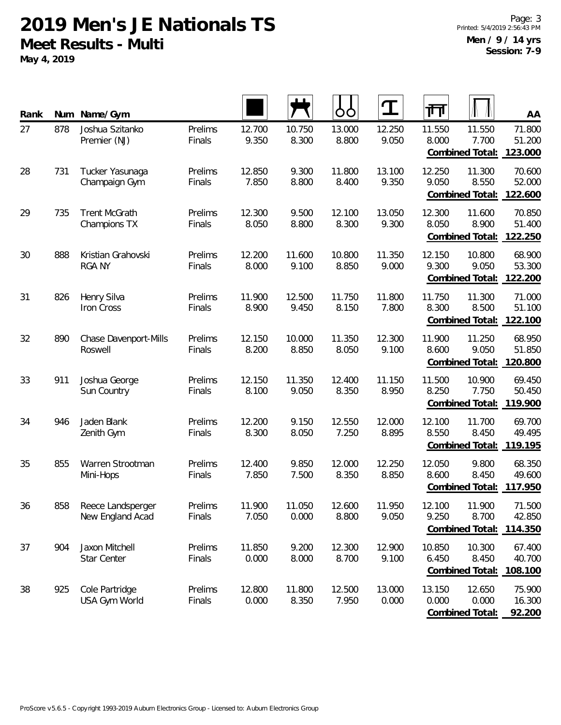**May 4, 2019**

| Rank | Num | Name/Gym                              |                   |                 |                 | OO              | I               | 帀               |                                            | AA                          |
|------|-----|---------------------------------------|-------------------|-----------------|-----------------|-----------------|-----------------|-----------------|--------------------------------------------|-----------------------------|
| 27   | 878 | Joshua Szitanko<br>Premier (NJ)       | Prelims<br>Finals | 12.700<br>9.350 | 10.750<br>8.300 | 13.000<br>8.800 | 12.250<br>9.050 | 11.550<br>8.000 | 11.550<br>7.700<br>Combined Total:         | 71.800<br>51.200<br>123.000 |
| 28   | 731 | Tucker Yasunaga<br>Champaign Gym      | Prelims<br>Finals | 12.850<br>7.850 | 9.300<br>8.800  | 11.800<br>8.400 | 13.100<br>9.350 | 12.250<br>9.050 | 11.300<br>8.550<br>Combined Total:         | 70.600<br>52.000<br>122.600 |
| 29   | 735 | <b>Trent McGrath</b><br>Champions TX  | Prelims<br>Finals | 12.300<br>8.050 | 9.500<br>8.800  | 12.100<br>8.300 | 13.050<br>9.300 | 12.300<br>8.050 | 11.600<br>8.900<br>Combined Total:         | 70.850<br>51.400<br>122.250 |
| 30   | 888 | Kristian Grahovski<br><b>RGA NY</b>   | Prelims<br>Finals | 12.200<br>8.000 | 11.600<br>9.100 | 10.800<br>8.850 | 11.350<br>9.000 | 12.150<br>9.300 | 10.800<br>9.050<br>Combined Total:         | 68.900<br>53.300<br>122.200 |
| 31   | 826 | Henry Silva<br>Iron Cross             | Prelims<br>Finals | 11.900<br>8.900 | 12.500<br>9.450 | 11.750<br>8.150 | 11.800<br>7.800 | 11.750<br>8.300 | 11.300<br>8.500<br>Combined Total:         | 71.000<br>51.100<br>122.100 |
| 32   | 890 | Chase Davenport-Mills<br>Roswell      | Prelims<br>Finals | 12.150<br>8.200 | 10.000<br>8.850 | 11.350<br>8.050 | 12.300<br>9.100 | 11.900<br>8.600 | 11.250<br>9.050<br>Combined Total:         | 68.950<br>51.850<br>120.800 |
| 33   | 911 | Joshua George<br>Sun Country          | Prelims<br>Finals | 12.150<br>8.100 | 11.350<br>9.050 | 12.400<br>8.350 | 11.150<br>8.950 | 11.500<br>8.250 | 10.900<br>7.750<br>Combined Total:         | 69.450<br>50.450<br>119.900 |
| 34   | 946 | Jaden Blank<br>Zenith Gym             | Prelims<br>Finals | 12.200<br>8.300 | 9.150<br>8.050  | 12.550<br>7.250 | 12.000<br>8.895 | 12.100<br>8.550 | 11.700<br>8.450<br>Combined Total: 119.195 | 69.700<br>49.495            |
| 35   | 855 | Warren Strootman<br>Mini-Hops         | Prelims<br>Finals | 12.400<br>7.850 | 9.850<br>7.500  | 12.000<br>8.350 | 12.250<br>8.850 | 12.050<br>8.600 | 9.800<br>8.450<br>Combined Total:          | 68.350<br>49.600<br>117.950 |
| 36   | 858 | Reece Landsperger<br>New England Acad | Prelims<br>Finals | 11.900<br>7.050 | 11.050<br>0.000 | 12.600<br>8.800 | 11.950<br>9.050 | 12.100<br>9.250 | 11.900<br>8.700<br>Combined Total:         | 71.500<br>42.850<br>114.350 |
| 37   | 904 | Jaxon Mitchell<br>Star Center         | Prelims<br>Finals | 11.850<br>0.000 | 9.200<br>8.000  | 12.300<br>8.700 | 12.900<br>9.100 | 10.850<br>6.450 | 10.300<br>8.450<br>Combined Total:         | 67.400<br>40.700<br>108.100 |
| 38   | 925 | Cole Partridge<br>USA Gym World       | Prelims<br>Finals | 12.800<br>0.000 | 11.800<br>8.350 | 12.500<br>7.950 | 13.000<br>0.000 | 13.150<br>0.000 | 12.650<br>0.000<br>Combined Total:         | 75.900<br>16.300<br>92.200  |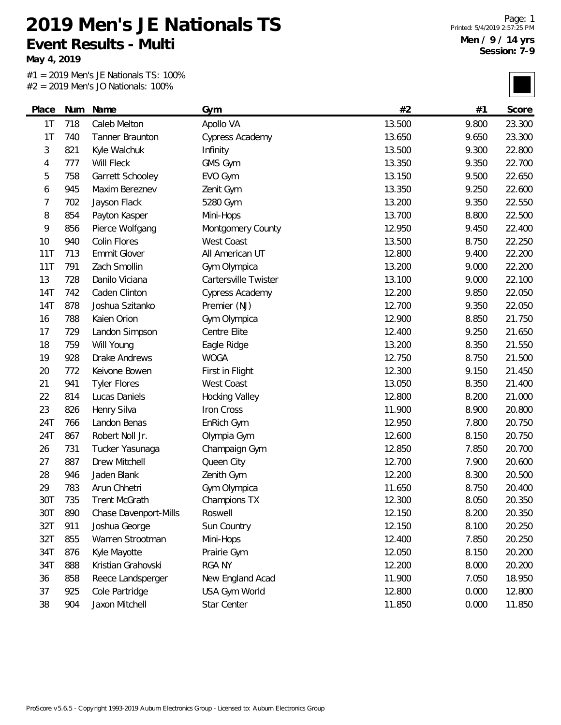**Event Results - Multi**

**May 4, 2019**

#1 = 2019 Men's JE Nationals TS: 100% #2 = 2019 Men's JO Nationals: 100%

**2019 Men's JE Nationals TS**

| Place | Num | Name                  | Gym                    | #2     | #1    | Score  |
|-------|-----|-----------------------|------------------------|--------|-------|--------|
| 1T    | 718 | Caleb Melton          | Apollo VA              | 13.500 | 9.800 | 23.300 |
| 1T    | 740 | Tanner Braunton       | Cypress Academy        | 13.650 | 9.650 | 23.300 |
| 3     | 821 | Kyle Walchuk          | Infinity               | 13.500 | 9.300 | 22.800 |
| 4     | 777 | Will Fleck            | GMS Gym                | 13.350 | 9.350 | 22.700 |
| 5     | 758 | Garrett Schooley      | EVO Gym                | 13.150 | 9.500 | 22.650 |
| 6     | 945 | Maxim Bereznev        | Zenit Gym              | 13.350 | 9.250 | 22.600 |
| 7     | 702 | Jayson Flack          | 5280 Gym               | 13.200 | 9.350 | 22.550 |
| 8     | 854 | Payton Kasper         | Mini-Hops              | 13.700 | 8.800 | 22.500 |
| 9     | 856 | Pierce Wolfgang       | Montgomery County      | 12.950 | 9.450 | 22.400 |
| 10    | 940 | Colin Flores          | West Coast             | 13.500 | 8.750 | 22.250 |
| 11T   | 713 | Emmit Glover          | All American UT        | 12.800 | 9.400 | 22.200 |
| 11T   | 791 | Zach Smollin          | Gym Olympica           | 13.200 | 9.000 | 22.200 |
| 13    | 728 | Danilo Viciana        | Cartersville Twister   | 13.100 | 9.000 | 22.100 |
| 14T   | 742 | Caden Clinton         | <b>Cypress Academy</b> | 12.200 | 9.850 | 22.050 |
| 14T   | 878 | Joshua Szitanko       | Premier (NJ)           | 12.700 | 9.350 | 22.050 |
| 16    | 788 | Kaien Orion           | Gym Olympica           | 12.900 | 8.850 | 21.750 |
| 17    | 729 | Landon Simpson        | Centre Elite           | 12.400 | 9.250 | 21.650 |
| 18    | 759 | Will Young            | Eagle Ridge            | 13.200 | 8.350 | 21.550 |
| 19    | 928 | Drake Andrews         | <b>WOGA</b>            | 12.750 | 8.750 | 21.500 |
| 20    | 772 | Keivone Bowen         | First in Flight        | 12.300 | 9.150 | 21.450 |
| 21    | 941 | <b>Tyler Flores</b>   | West Coast             | 13.050 | 8.350 | 21.400 |
| 22    | 814 | Lucas Daniels         | <b>Hocking Valley</b>  | 12.800 | 8.200 | 21.000 |
| 23    | 826 | Henry Silva           | Iron Cross             | 11.900 | 8.900 | 20.800 |
| 24T   | 766 | Landon Benas          | EnRich Gym             | 12.950 | 7.800 | 20.750 |
| 24T   | 867 | Robert Noll Jr.       | Olympia Gym            | 12.600 | 8.150 | 20.750 |
| 26    | 731 | Tucker Yasunaga       | Champaign Gym          | 12.850 | 7.850 | 20.700 |
| 27    | 887 | Drew Mitchell         | Queen City             | 12.700 | 7.900 | 20.600 |
| 28    | 946 | Jaden Blank           | Zenith Gym             | 12.200 | 8.300 | 20.500 |
| 29    | 783 | Arun Chhetri          | Gym Olympica           | 11.650 | 8.750 | 20.400 |
| 30T   | 735 | <b>Trent McGrath</b>  | Champions TX           | 12.300 | 8.050 | 20.350 |
| 30T   | 890 | Chase Davenport-Mills | Roswell                | 12.150 | 8.200 | 20.350 |
| 32T   | 911 | Joshua George         | Sun Country            | 12.150 | 8.100 | 20.250 |
| 32T   | 855 | Warren Strootman      | Mini-Hops              | 12.400 | 7.850 | 20.250 |
| 34T   | 876 | Kyle Mayotte          | Prairie Gym            | 12.050 | 8.150 | 20.200 |
| 34T   | 888 | Kristian Grahovski    | <b>RGA NY</b>          | 12.200 | 8.000 | 20.200 |
| 36    | 858 | Reece Landsperger     | New England Acad       | 11.900 | 7.050 | 18.950 |
| 37    | 925 | Cole Partridge        | USA Gym World          | 12.800 | 0.000 | 12.800 |
| 38    | 904 | Jaxon Mitchell        | Star Center            | 11.850 | 0.000 | 11.850 |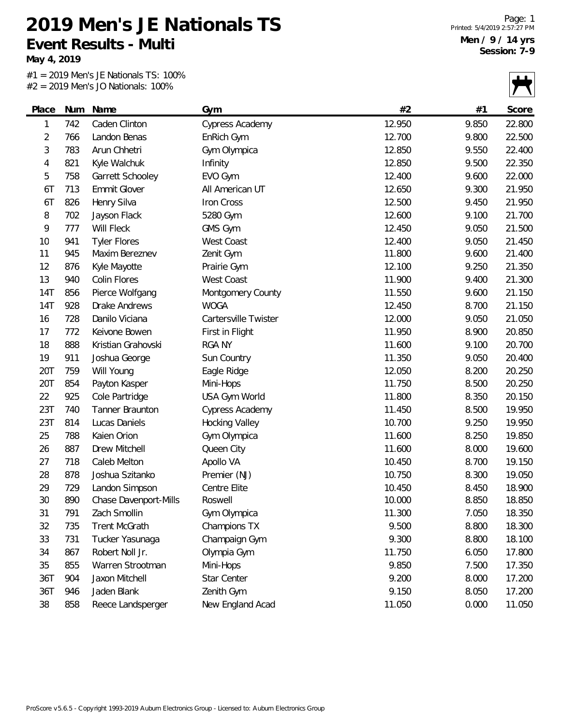**May 4, 2019**

#1 = 2019 Men's JE Nationals TS: 100%  $#2 = 2019$  Men's JO Nationals: 100%

|       |     | $Z = ZU19$ Merry JU Nationals. TOO 70 |                        |        |       |        |
|-------|-----|---------------------------------------|------------------------|--------|-------|--------|
| Place | Num | Name                                  | Gym                    | #2     | #1    | Score  |
| 1     | 742 | Caden Clinton                         | Cypress Academy        | 12.950 | 9.850 | 22.800 |
| 2     | 766 | Landon Benas                          | EnRich Gym             | 12.700 | 9.800 | 22.500 |
| 3     | 783 | Arun Chhetri                          | Gym Olympica           | 12.850 | 9.550 | 22.400 |
| 4     | 821 | Kyle Walchuk                          | Infinity               | 12.850 | 9.500 | 22.350 |
| 5     | 758 | Garrett Schooley                      | EVO Gym                | 12.400 | 9.600 | 22.000 |
| 6T    | 713 | <b>Emmit Glover</b>                   | All American UT        | 12.650 | 9.300 | 21.950 |
| 6T    | 826 | Henry Silva                           | Iron Cross             | 12.500 | 9.450 | 21.950 |
| 8     | 702 | Jayson Flack                          | 5280 Gym               | 12.600 | 9.100 | 21.700 |
| 9     | 777 | Will Fleck                            | GMS Gym                | 12.450 | 9.050 | 21.500 |
| 10    | 941 | <b>Tyler Flores</b>                   | West Coast             | 12.400 | 9.050 | 21.450 |
| 11    | 945 | Maxim Bereznev                        | Zenit Gym              | 11.800 | 9.600 | 21.400 |
| 12    | 876 | Kyle Mayotte                          | Prairie Gym            | 12.100 | 9.250 | 21.350 |
| 13    | 940 | Colin Flores                          | West Coast             | 11.900 | 9.400 | 21.300 |
| 14T   | 856 | Pierce Wolfgang                       | Montgomery County      | 11.550 | 9.600 | 21.150 |
| 14T   | 928 | Drake Andrews                         | <b>WOGA</b>            | 12.450 | 8.700 | 21.150 |
| 16    | 728 | Danilo Viciana                        | Cartersville Twister   | 12.000 | 9.050 | 21.050 |
| 17    | 772 | Keivone Bowen                         | First in Flight        | 11.950 | 8.900 | 20.850 |
| 18    | 888 | Kristian Grahovski                    | <b>RGA NY</b>          | 11.600 | 9.100 | 20.700 |
| 19    | 911 | Joshua George                         | Sun Country            | 11.350 | 9.050 | 20.400 |
| 20T   | 759 | Will Young                            | Eagle Ridge            | 12.050 | 8.200 | 20.250 |
| 20T   | 854 | Payton Kasper                         | Mini-Hops              | 11.750 | 8.500 | 20.250 |
| 22    | 925 | Cole Partridge                        | USA Gym World          | 11.800 | 8.350 | 20.150 |
| 23T   | 740 | Tanner Braunton                       | <b>Cypress Academy</b> | 11.450 | 8.500 | 19.950 |
| 23T   | 814 | Lucas Daniels                         | <b>Hocking Valley</b>  | 10.700 | 9.250 | 19.950 |
| 25    | 788 | Kaien Orion                           | Gym Olympica           | 11.600 | 8.250 | 19.850 |
| 26    | 887 | Drew Mitchell                         | Queen City             | 11.600 | 8.000 | 19.600 |
| 27    | 718 | Caleb Melton                          | Apollo VA              | 10.450 | 8.700 | 19.150 |
| 28    | 878 | Joshua Szitanko                       | Premier (NJ)           | 10.750 | 8.300 | 19.050 |
| 29    | 729 | Landon Simpson                        | Centre Elite           | 10.450 | 8.450 | 18.900 |
| 30    | 890 | Chase Davenport-Mills                 | Roswell                | 10.000 | 8.850 | 18.850 |
| 31    | 791 | Zach Smollin                          | Gym Olympica           | 11.300 | 7.050 | 18.350 |
| 32    | 735 | <b>Trent McGrath</b>                  | Champions TX           | 9.500  | 8.800 | 18.300 |
| 33    | 731 | Tucker Yasunaga                       | Champaign Gym          | 9.300  | 8.800 | 18.100 |
| 34    | 867 | Robert Noll Jr.                       | Olympia Gym            | 11.750 | 6.050 | 17.800 |
| 35    | 855 | Warren Strootman                      | Mini-Hops              | 9.850  | 7.500 | 17.350 |
| 36T   | 904 | Jaxon Mitchell                        | Star Center            | 9.200  | 8.000 | 17.200 |
| 36T   | 946 | Jaden Blank                           | Zenith Gym             | 9.150  | 8.050 | 17.200 |
| 38    | 858 | Reece Landsperger                     | New England Acad       | 11.050 | 0.000 | 11.050 |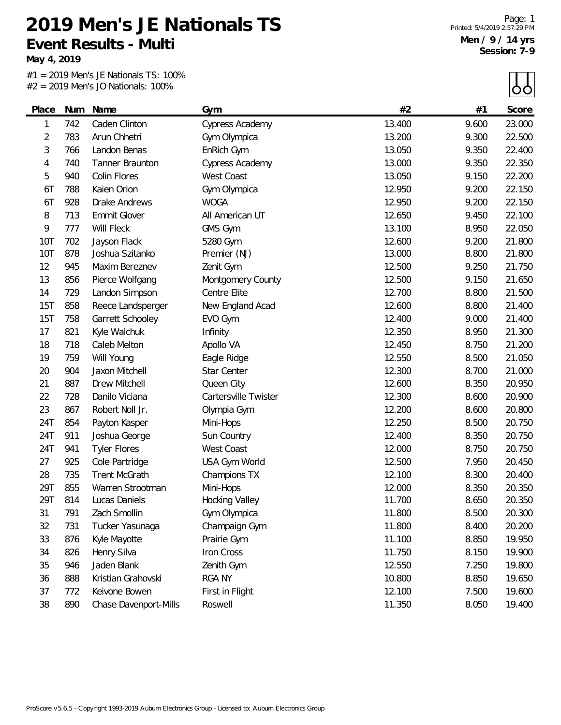**May 4, 2019**

#1 = 2019 Men's JE Nationals TS: 100% #2 = 2019 Men's JO Nationals: 100%

 $\blacksquare$ 

|            |     | $2$ = 2019 Men's JO Nationals: 100% |                        |        |       | ÓÒ     |
|------------|-----|-------------------------------------|------------------------|--------|-------|--------|
| Place      | Num | Name                                | Gym                    | #2     | #1    | Score  |
| 1          | 742 | Caden Clinton                       | <b>Cypress Academy</b> | 13.400 | 9.600 | 23.000 |
| 2          | 783 | Arun Chhetri                        | Gym Olympica           | 13.200 | 9.300 | 22.500 |
| 3          | 766 | Landon Benas                        | EnRich Gym             | 13.050 | 9.350 | 22.400 |
| 4          | 740 | Tanner Braunton                     | <b>Cypress Academy</b> | 13.000 | 9.350 | 22.350 |
| 5          | 940 | Colin Flores                        | <b>West Coast</b>      | 13.050 | 9.150 | 22.200 |
| 6T         | 788 | Kaien Orion                         | Gym Olympica           | 12.950 | 9.200 | 22.150 |
| 6T         | 928 | <b>Drake Andrews</b>                | <b>WOGA</b>            | 12.950 | 9.200 | 22.150 |
| 8          | 713 | <b>Emmit Glover</b>                 | All American UT        | 12.650 | 9.450 | 22.100 |
| 9          | 777 | Will Fleck                          | GMS Gym                | 13.100 | 8.950 | 22.050 |
| <b>10T</b> | 702 | Jayson Flack                        | 5280 Gym               | 12.600 | 9.200 | 21.800 |
| 10T        | 878 | Joshua Szitanko                     | Premier (NJ)           | 13.000 | 8.800 | 21.800 |
| 12         | 945 | Maxim Bereznev                      | Zenit Gym              | 12.500 | 9.250 | 21.750 |
| 13         | 856 | Pierce Wolfgang                     | Montgomery County      | 12.500 | 9.150 | 21.650 |
| 14         | 729 | Landon Simpson                      | Centre Elite           | 12.700 | 8.800 | 21.500 |
| 15T        | 858 | Reece Landsperger                   | New England Acad       | 12.600 | 8.800 | 21.400 |
| 15T        | 758 | Garrett Schooley                    | EVO Gym                | 12.400 | 9.000 | 21.400 |
| 17         | 821 | Kyle Walchuk                        | Infinity               | 12.350 | 8.950 | 21.300 |
| 18         | 718 | Caleb Melton                        | Apollo VA              | 12.450 | 8.750 | 21.200 |
| 19         | 759 | Will Young                          | Eagle Ridge            | 12.550 | 8.500 | 21.050 |
| 20         | 904 | Jaxon Mitchell                      | Star Center            | 12.300 | 8.700 | 21.000 |
| 21         | 887 | Drew Mitchell                       | Queen City             | 12.600 | 8.350 | 20.950 |
| 22         | 728 | Danilo Viciana                      | Cartersville Twister   | 12.300 | 8.600 | 20.900 |
| 23         | 867 | Robert Noll Jr.                     | Olympia Gym            | 12.200 | 8.600 | 20.800 |
| 24T        | 854 | Payton Kasper                       | Mini-Hops              | 12.250 | 8.500 | 20.750 |
| 24T        | 911 | Joshua George                       | Sun Country            | 12.400 | 8.350 | 20.750 |
| 24T        | 941 | <b>Tyler Flores</b>                 | West Coast             | 12.000 | 8.750 | 20.750 |
| 27         | 925 | Cole Partridge                      | USA Gym World          | 12.500 | 7.950 | 20.450 |
| 28         | 735 | <b>Trent McGrath</b>                | Champions TX           | 12.100 | 8.300 | 20.400 |
| 29T        | 855 | Warren Strootman                    | Mini-Hops              | 12.000 | 8.350 | 20.350 |
| 29T        | 814 | Lucas Daniels                       | <b>Hocking Valley</b>  | 11.700 | 8.650 | 20.350 |
| 31         | 791 | Zach Smollin                        | Gym Olympica           | 11.800 | 8.500 | 20.300 |
| 32         | 731 | Tucker Yasunaga                     | Champaign Gym          | 11.800 | 8.400 | 20.200 |
| 33         | 876 | Kyle Mayotte                        | Prairie Gym            | 11.100 | 8.850 | 19.950 |
| 34         | 826 | Henry Silva                         | Iron Cross             | 11.750 | 8.150 | 19.900 |
| 35         | 946 | Jaden Blank                         | Zenith Gym             | 12.550 | 7.250 | 19.800 |
| 36         | 888 | Kristian Grahovski                  | <b>RGA NY</b>          | 10.800 | 8.850 | 19.650 |
| 37         | 772 | Keivone Bowen                       | First in Flight        | 12.100 | 7.500 | 19.600 |
| 38         | 890 | Chase Davenport-Mills               | Roswell                | 11.350 | 8.050 | 19.400 |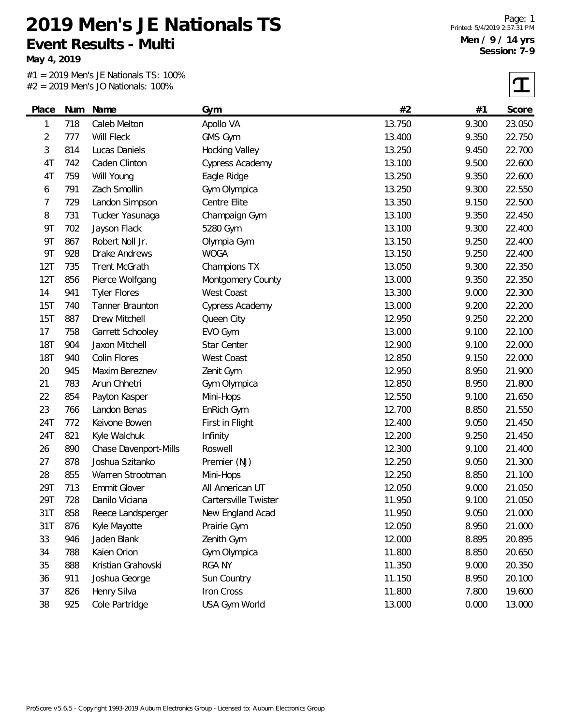**May 4, 2019**

#1 = 2019 Men's JE Nationals TS: 100% #2 = 2019 Men's JO Nationals: 100%

| Place          | Num | Name                  | Gym                   | #2     | #1    | Score  |
|----------------|-----|-----------------------|-----------------------|--------|-------|--------|
| 1              | 718 | Caleb Melton          | Apollo VA             | 13.750 | 9.300 | 23.050 |
| $\overline{2}$ | 777 | Will Fleck            | GMS Gym               | 13.400 | 9.350 | 22.750 |
| 3              | 814 | Lucas Daniels         | <b>Hocking Valley</b> | 13.250 | 9.450 | 22.700 |
| 4T             | 742 | Caden Clinton         | Cypress Academy       | 13.100 | 9.500 | 22.600 |
| 4T             | 759 | Will Young            | Eagle Ridge           | 13.250 | 9.350 | 22.600 |
| 6              | 791 | Zach Smollin          | Gym Olympica          | 13.250 | 9.300 | 22.550 |
| 7              | 729 | Landon Simpson        | Centre Elite          | 13.350 | 9.150 | 22.500 |
| 8              | 731 | Tucker Yasunaga       | Champaign Gym         | 13.100 | 9.350 | 22.450 |
| <b>9T</b>      | 702 | Jayson Flack          | 5280 Gym              | 13.100 | 9.300 | 22.400 |
| <b>9T</b>      | 867 | Robert Noll Jr.       | Olympia Gym           | 13.150 | 9.250 | 22.400 |
| <b>9T</b>      | 928 | Drake Andrews         | <b>WOGA</b>           | 13.150 | 9.250 | 22.400 |
| 12T            | 735 | <b>Trent McGrath</b>  | Champions TX          | 13.050 | 9.300 | 22.350 |
| 12T            | 856 | Pierce Wolfgang       | Montgomery County     | 13.000 | 9.350 | 22.350 |
| 14             | 941 | <b>Tyler Flores</b>   | West Coast            | 13.300 | 9.000 | 22.300 |
| 15T            | 740 | Tanner Braunton       | Cypress Academy       | 13.000 | 9.200 | 22.200 |
| 15T            | 887 | Drew Mitchell         | Queen City            | 12.950 | 9.250 | 22.200 |
| 17             | 758 | Garrett Schooley      | EVO Gym               | 13.000 | 9.100 | 22.100 |
| <b>18T</b>     | 904 | Jaxon Mitchell        | Star Center           | 12.900 | 9.100 | 22.000 |
| <b>18T</b>     | 940 | Colin Flores          | West Coast            | 12.850 | 9.150 | 22.000 |
| 20             | 945 | Maxim Bereznev        | Zenit Gym             | 12.950 | 8.950 | 21.900 |
| 21             | 783 | Arun Chhetri          | Gym Olympica          | 12.850 | 8.950 | 21.800 |
| 22             | 854 | Payton Kasper         | Mini-Hops             | 12.550 | 9.100 | 21.650 |
| 23             | 766 | Landon Benas          | EnRich Gym            | 12.700 | 8.850 | 21.550 |
| 24T            | 772 | Keivone Bowen         | First in Flight       | 12.400 | 9.050 | 21.450 |
| 24T            | 821 | Kyle Walchuk          | Infinity              | 12.200 | 9.250 | 21.450 |
| 26             | 890 | Chase Davenport-Mills | Roswell               | 12.300 | 9.100 | 21.400 |
| 27             | 878 | Joshua Szitanko       | Premier (NJ)          | 12.250 | 9.050 | 21.300 |
| 28             | 855 | Warren Strootman      | Mini-Hops             | 12.250 | 8.850 | 21.100 |
| 29T            | 713 | Emmit Glover          | All American UT       | 12.050 | 9.000 | 21.050 |
| 29T            | 728 | Danilo Viciana        | Cartersville Twister  | 11.950 | 9.100 | 21.050 |
| 31T            | 858 | Reece Landsperger     | New England Acad      | 11.950 | 9.050 | 21.000 |
| 31T            | 876 | Kyle Mayotte          | Prairie Gym           | 12.050 | 8.950 | 21.000 |
| 33             | 946 | Jaden Blank           | Zenith Gym            | 12.000 | 8.895 | 20.895 |
| 34             | 788 | Kaien Orion           | Gym Olympica          | 11.800 | 8.850 | 20.650 |
| 35             | 888 | Kristian Grahovski    | <b>RGA NY</b>         | 11.350 | 9.000 | 20.350 |
| 36             | 911 | Joshua George         | Sun Country           | 11.150 | 8.950 | 20.100 |
| 37             | 826 | Henry Silva           | Iron Cross            | 11.800 | 7.800 | 19.600 |
| 38             | 925 | Cole Partridge        | USA Gym World         | 13.000 | 0.000 | 13.000 |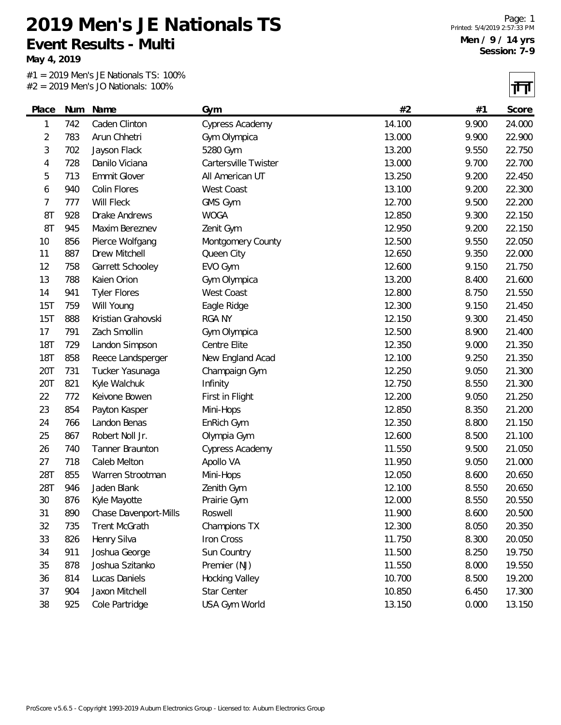**May 4, 2019**

#1 = 2019 Men's JE Nationals TS: 100% #2 = 2019 Men's JO Nationals: 100%

न्मन

|            |     |                       |                        |        |       | 1' L'  |
|------------|-----|-----------------------|------------------------|--------|-------|--------|
| Place      |     | Num Name              | Gym                    | #2     | #1    | Score  |
| 1          | 742 | Caden Clinton         | Cypress Academy        | 14.100 | 9.900 | 24.000 |
| 2          | 783 | Arun Chhetri          | Gym Olympica           | 13.000 | 9.900 | 22.900 |
| 3          | 702 | Jayson Flack          | 5280 Gym               | 13.200 | 9.550 | 22.750 |
| 4          | 728 | Danilo Viciana        | Cartersville Twister   | 13.000 | 9.700 | 22.700 |
| 5          | 713 | Emmit Glover          | All American UT        | 13.250 | 9.200 | 22.450 |
| 6          | 940 | Colin Flores          | West Coast             | 13.100 | 9.200 | 22.300 |
| 7          | 777 | Will Fleck            | GMS Gym                | 12.700 | 9.500 | 22.200 |
| 8T         | 928 | Drake Andrews         | <b>WOGA</b>            | 12.850 | 9.300 | 22.150 |
| 8T         | 945 | Maxim Bereznev        | Zenit Gym              | 12.950 | 9.200 | 22.150 |
| 10         | 856 | Pierce Wolfgang       | Montgomery County      | 12.500 | 9.550 | 22.050 |
| 11         | 887 | Drew Mitchell         | Queen City             | 12.650 | 9.350 | 22.000 |
| 12         | 758 | Garrett Schooley      | EVO Gym                | 12.600 | 9.150 | 21.750 |
| 13         | 788 | Kaien Orion           | Gym Olympica           | 13.200 | 8.400 | 21.600 |
| 14         | 941 | <b>Tyler Flores</b>   | West Coast             | 12.800 | 8.750 | 21.550 |
| 15T        | 759 | Will Young            | Eagle Ridge            | 12.300 | 9.150 | 21.450 |
| 15T        | 888 | Kristian Grahovski    | <b>RGA NY</b>          | 12.150 | 9.300 | 21.450 |
| 17         | 791 | Zach Smollin          | Gym Olympica           | 12.500 | 8.900 | 21.400 |
| <b>18T</b> | 729 | Landon Simpson        | Centre Elite           | 12.350 | 9.000 | 21.350 |
| <b>18T</b> | 858 | Reece Landsperger     | New England Acad       | 12.100 | 9.250 | 21.350 |
| 20T        | 731 | Tucker Yasunaga       | Champaign Gym          | 12.250 | 9.050 | 21.300 |
| 20T        | 821 | Kyle Walchuk          | Infinity               | 12.750 | 8.550 | 21.300 |
| 22         | 772 | Keivone Bowen         | First in Flight        | 12.200 | 9.050 | 21.250 |
| 23         | 854 | Payton Kasper         | Mini-Hops              | 12.850 | 8.350 | 21.200 |
| 24         | 766 | Landon Benas          | EnRich Gym             | 12.350 | 8.800 | 21.150 |
| 25         | 867 | Robert Noll Jr.       | Olympia Gym            | 12.600 | 8.500 | 21.100 |
| 26         | 740 | Tanner Braunton       | <b>Cypress Academy</b> | 11.550 | 9.500 | 21.050 |
| 27         | 718 | Caleb Melton          | Apollo VA              | 11.950 | 9.050 | 21.000 |
| 28T        | 855 | Warren Strootman      | Mini-Hops              | 12.050 | 8.600 | 20.650 |
| 28T        | 946 | Jaden Blank           | Zenith Gym             | 12.100 | 8.550 | 20.650 |
| 30         | 876 | Kyle Mayotte          | Prairie Gym            | 12.000 | 8.550 | 20.550 |
| 31         | 890 | Chase Davenport-Mills | Roswell                | 11.900 | 8.600 | 20.500 |
| 32         | 735 | <b>Trent McGrath</b>  | Champions TX           | 12.300 | 8.050 | 20.350 |
| 33         | 826 | Henry Silva           | Iron Cross             | 11.750 | 8.300 | 20.050 |
| 34         | 911 | Joshua George         | Sun Country            | 11.500 | 8.250 | 19.750 |
| 35         | 878 | Joshua Szitanko       | Premier (NJ)           | 11.550 | 8.000 | 19.550 |
| 36         | 814 | Lucas Daniels         | Hocking Valley         | 10.700 | 8.500 | 19.200 |
| 37         | 904 | Jaxon Mitchell        | Star Center            | 10.850 | 6.450 | 17.300 |
| 38         | 925 | Cole Partridge        | USA Gym World          | 13.150 | 0.000 | 13.150 |